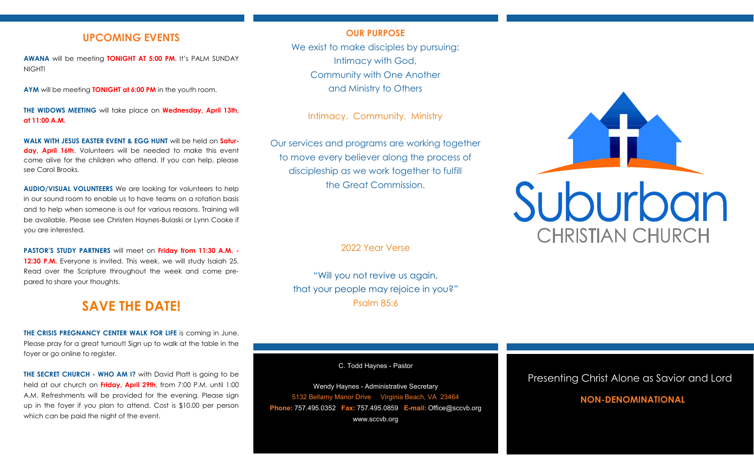## **UPCOMING EVENTS**

**AWANA** will be meeting **TONIGHT AT 5:00 PM.** It's PALM SUNDAY NIGHT!

**AYM** will be meeting **TONIGHT at 6:00 PM** in the youth room.

**THE WIDOWS MEETING** will take place on **Wednesday, April 13th, at 11:00 A.M.**

**WALK WITH JESUS EASTER EVENT & EGG HUNT** will be held on **Satur**day, April 16th. Volunteers will be needed to make this event come alive for the children who attend. If you can help, please see Carol Brooks.

**AUDIO/VISUAL VOLUNTEERS** We are looking for volunteers to help in our sound room to enable us to have teams on a rotation basis and to help when someone is out for various reasons. Training will be available. Please see Christen Haynes-Bulaski or Lynn Cooke if you are interested.

**PASTOR'S STUDY PARTNERS** will meet on **Friday from 11:30 A.M. - 12:30 P.M.** Everyone is invited. This week, we will study Isaiah 25. Read over the Scripture throughout the week and come prepared to share your thoughts.

# **SAVE THE DATE!**

**THE CRISIS PREGNANCY CENTER WALK FOR LIFE** is coming in June. Please pray for a great turnout! Sign up to walk at the table in the foyer or go online to register.

**THE SECRET CHURCH - WHO AM I?** with David Platt is going to be held at our church on **Friday, April 29th**, from 7:00 P.M. until 1:00 A.M. Refreshments will be provided for the evening. Please sign up in the foyer if you plan to attend. Cost is \$10.00 per person which can be paid the night of the event.

### **OUR PURPOSE**

We exist to make disciples by pursuing: Intimacy with God, Community with One Another and Ministry to Others

Intimacy. Community. Ministry

Our services and programs are working together to move every believer along the process of discipleship as we work together to fulfill the Great Commission.

2022 Year Verse

"Will you not revive us again, that your people may rejoice in you?" Psalm 85:6

C. Todd Haynes - Pastor

Wendy Haynes - Administrative Secretary 5132 Bellamy Manor Drive Virginia Beach, VA 23464 **Phone:** 757.495.0352 **Fax:** 757.495.0859 **E-mail:** Office@sccvb.org www.sccvb.org



## Presenting Christ Alone as Savior and Lord

## **NON-DENOMINATIONAL**